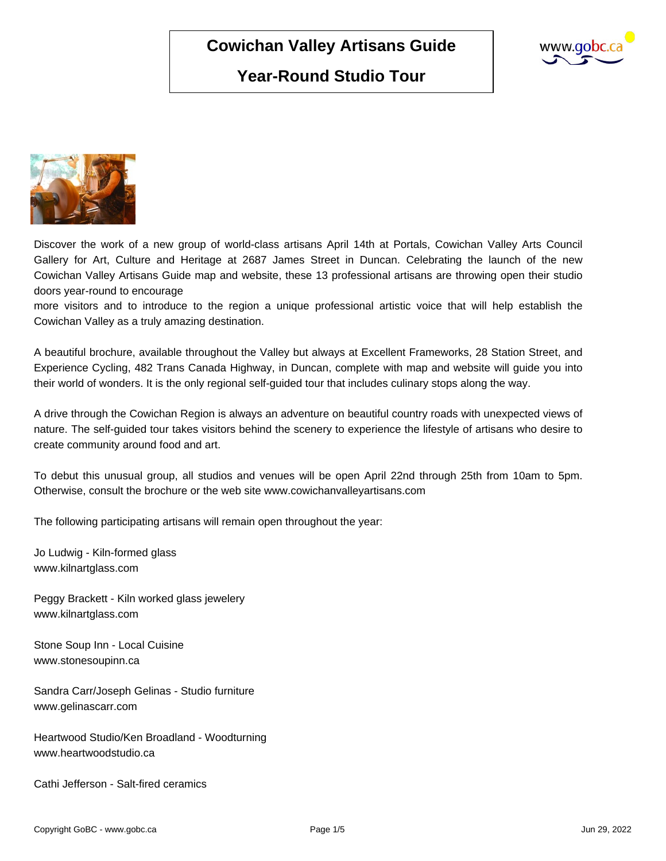# **Year-Round Studio Tour**





Discover the work of a new group of world-class artisans April 14th at Portals, Cowichan Valley Arts Council Gallery for Art, Culture and Heritage at 2687 James Street in Duncan. Celebrating the launch of the new Cowichan Valley Artisans Guide map and website, these 13 professional artisans are throwing open their studio doors year-round to encourage

more visitors and to introduce to the region a unique professional artistic voice that will help establish the Cowichan Valley as a truly amazing destination.

A beautiful brochure, available throughout the Valley but always at Excellent Frameworks, 28 Station Street, and Experience Cycling, 482 Trans Canada Highway, in Duncan, complete with map and website will guide you into their world of wonders. It is the only regional self-guided tour that includes culinary stops along the way.

A drive through the Cowichan Region is always an adventure on beautiful country roads with unexpected views of nature. The self-guided tour takes visitors behind the scenery to experience the lifestyle of artisans who desire to create community around food and art.

To debut this unusual group, all studios and venues will be open April 22nd through 25th from 10am to 5pm. Otherwise, consult the brochure or the web site www.cowichanvalleyartisans.com

The following participating artisans will remain open throughout the year:

Jo Ludwig - Kiln-formed glass www.kilnartglass.com

Peggy Brackett - Kiln worked glass jewelery www.kilnartglass.com

Stone Soup Inn - Local Cuisine www.stonesoupinn.ca

Sandra Carr/Joseph Gelinas - Studio furniture www.gelinascarr.com

Heartwood Studio/Ken Broadland - Woodturning www.heartwoodstudio.ca

Cathi Jefferson - Salt-fired ceramics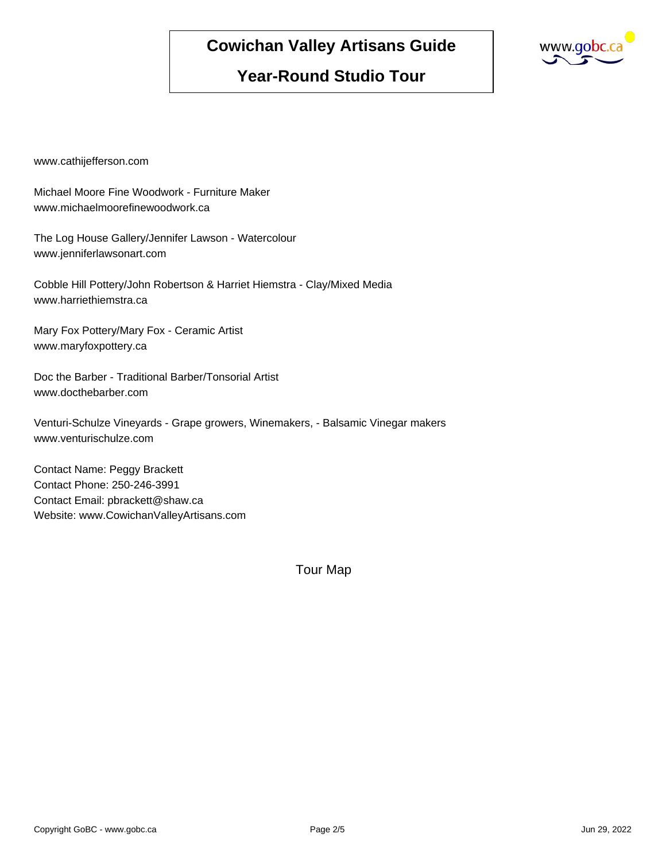

#### **Year-Round Studio Tour**

www.cathijefferson.com

Michael Moore Fine Woodwork - Furniture Maker www.michaelmoorefinewoodwork.ca

The Log House Gallery/Jennifer Lawson - Watercolour www.jenniferlawsonart.com

Cobble Hill Pottery/John Robertson & Harriet Hiemstra - Clay/Mixed Media www.harriethiemstra.ca

Mary Fox Pottery/Mary Fox - Ceramic Artist www.maryfoxpottery.ca

Doc the Barber - Traditional Barber/Tonsorial Artist www.docthebarber.com

Venturi-Schulze Vineyards - Grape growers, Winemakers, - Balsamic Vinegar makers www.venturischulze.com

Contact Name: Peggy Brackett Contact Phone: 250-246-3991 Contact Email: pbrackett@shaw.ca Website: www.CowichanValleyArtisans.com

Tour Map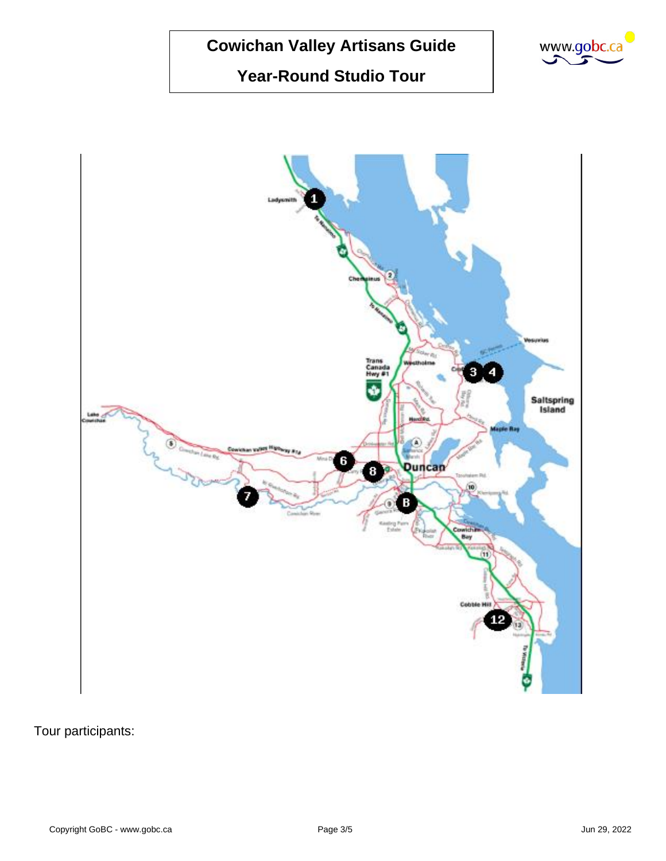### **Year-Round Studio Tour**





Tour participants: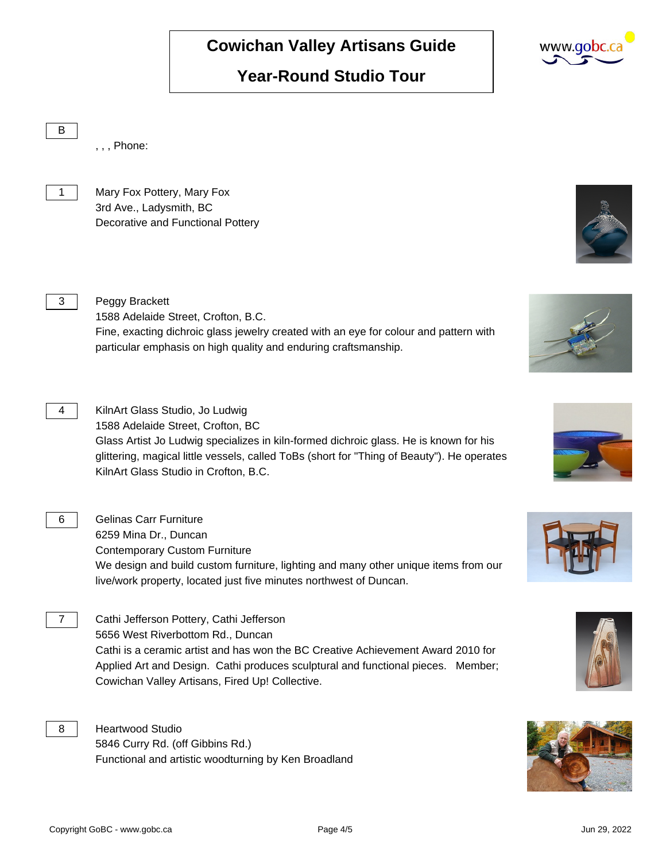### **Year-Round Studio Tour**

B , , , Phone: 1 | Mary Fox Pottery, Mary Fox 3rd Ave., Ladysmith, BC Decorative and Functional Pottery 3 Peggy Brackett 1588 Adelaide Street, Crofton, B.C. Fine, exacting dichroic glass jewelry created with an eye for colour and pattern with particular emphasis on high quality and enduring craftsmanship. 4 | KilnArt Glass Studio, Jo Ludwig 1588 Adelaide Street, Crofton, BC Glass Artist Jo Ludwig specializes in kiln-formed dichroic glass. He is known for his glittering, magical little vessels, called ToBs (short for "Thing of Beauty"). He operates KilnArt Glass Studio in Crofton, B.C. 6 | Gelinas Carr Furniture 6259 Mina Dr., Duncan Contemporary Custom Furniture We design and build custom furniture, lighting and many other unique items from our live/work property, located just five minutes northwest of Duncan. 7 | Cathi Jefferson Pottery, Cathi Jefferson 5656 West Riverbottom Rd., Duncan Cathi is a ceramic artist and has won the BC Creative Achievement Award 2010 for Applied Art and Design. Cathi produces sculptural and functional pieces. Member; Cowichan Valley Artisans, Fired Up! Collective. 8 | Heartwood Studio 5846 Curry Rd. (off Gibbins Rd.)

Functional and artistic woodturning by Ken Broadland